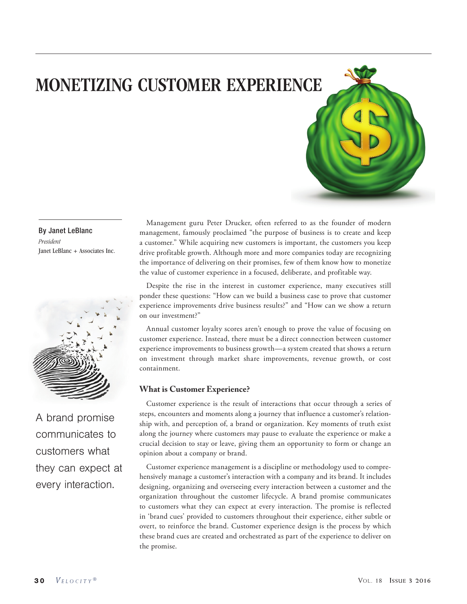# MONETIZING CUSTOMER EXPERIENCE

### By Janet LeBlanc *President* Janet LeBlanc + Associates Inc.



A brand promise communicates to customers what they can expect at every interaction.

Management guru Peter Drucker, often referred to as the founder of modern management, famously proclaimed "the purpose of business is to create and keep a customer." While acquiring new customers is important, the customers you keep drive profitable growth. Although more and more companies today are recognizing the importance of delivering on their promises, few of them know how to monetize the value of customer experience in a focused, deliberate, and profitable way.

Despite the rise in the interest in customer experience, many executives still ponder these questions: "How can we build a business case to prove that customer experience improvements drive business results?" and "How can we show a return on our investment?"

Annual customer loyalty scores aren't enough to prove the value of focusing on customer experience. Instead, there must be a direct connection between customer experience improvements to business growth—a system created that shows a return on investment through market share improvements, revenue growth, or cost containment.

## **What is Customer Experience?**

Customer experience is the result of interactions that occur through a series of steps, encounters and moments along a journey that influence a customer's relationship with, and perception of, a brand or organization. Key moments of truth exist along the journey where customers may pause to evaluate the experience or make a crucial decision to stay or leave, giving them an opportunity to form or change an opinion about a company or brand.

Customer experience management is a discipline or methodology used to comprehensively manage a customer's interaction with a company and its brand. It includes designing, organizing and overseeing every interaction between a customer and the organization throughout the customer lifecycle. A brand promise communicates to customers what they can expect at every interaction. The promise is reflected in 'brand cues' provided to customers throughout their experience, either subtle or overt, to reinforce the brand. Customer experience design is the process by which these brand cues are created and orchestrated as part of the experience to deliver on the promise.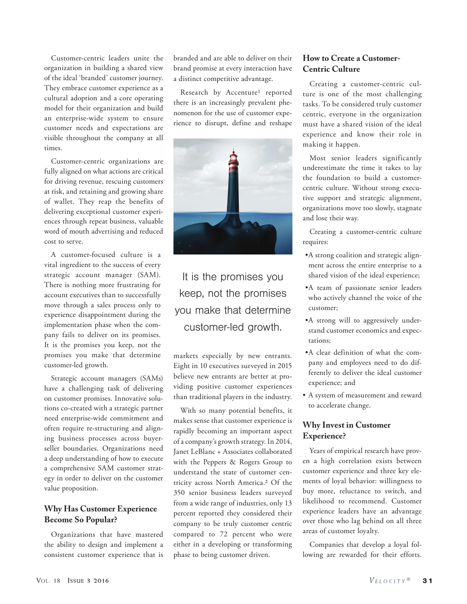Customer-centric leaders unite the organization in building a shared view of the ideal 'branded' customer journey. They embrace customer experience as a cultural adoption and a core operating model for their organization and build an enterprise-wide system to ensure customer needs and expectations are visible throughout the company at all times.

Customer-centric organizations are fully aligned on what actions are critical for driving revenue, rescuing customers at risk, and retaining and growing share of wallet. They reap the benefits of delivering exceptional customer experiences through repeat business, valuable word of mouth advertising and reduced cost to serve.

A customer-focused culture is a vital ingredient to the success of every strategic account manager (SAM). There is nothing more frustrating for account executives than to successfully move through a sales process only to experience disappointment during the implementation phase when the company fails to deliver on its promises. It is the promises you keep, not the promises you make that determine customer-led growth.

Strategic account managers (SAMs) have a challenging task of delivering on customer promises. Innovative solutions co-created with a strategic partner need enterprise-wide commitment and often require re-structuring and aligning business processes across buyerseller boundaries. Organizations need a deep understanding of how to execute a comprehensive SAM customer strategy in order to deliver on the customer value proposition.

# **Why Has Customer Experience Become So Popular?**

Organizations that have mastered the ability to design and implement a consistent customer experience that is branded and are able to deliver on their brand promise at every interaction have a distinct competitive advantage.

Research by Accenture<sup>1</sup> reported there is an increasingly prevalent phenomenon for the use of customer experience to disrupt, define and reshape



It is the promises you keep, not the promises you make that determine customer-led growth.

markets especially by new entrants. Eight in 10 executives surveyed in 2015 believe new entrants are better at providing positive customer experiences than traditional players in the industry.

With so many potential benefits, it makes sense that customer experience is rapidly becoming an important aspect of a company's growth strategy. In 2014, Janet LeBlanc + Associates collaborated with the Peppers & Rogers Group to understand the state of customer centricity across North America.2 Of the 350 senior business leaders surveyed from a wide range of industries, only 13 percent reported they considered their company to be truly customer centric compared to 72 percent who were either in a developing or transforming phase to being customer driven.

# **How to Create a Customer-Centric Culture**

Creating a customer-centric culture is one of the most challenging tasks. To be considered truly customer centric, everyone in the organization must have a shared vision of the ideal experience and know their role in making it happen.

Most senior leaders significantly underestimate the time it takes to lay the foundation to build a customercentric culture. Without strong executive support and strategic alignment, organizations move too slowly, stagnate and lose their way.

Creating a customer-centric culture requires:

- •A strong coalition and strategic alignment across the entire enterprise to a shared vision of the ideal experience;
- •A team of passionate senior leaders who actively channel the voice of the customer;
- •A strong will to aggressively understand customer economics and expectations;
- •A clear definition of what the company and employees need to do differently to deliver the ideal customer experience; and
- A system of measurement and reward to accelerate change.

# **Why Invest in Customer Experience?**

Years of empirical research have proven a high correlation exists between customer experience and three key elements of loyal behavior: willingness to buy more, reluctance to switch, and likelihood to recommend. Customer experience leaders have an advantage over those who lag behind on all three areas of customer loyalty.

Companies that develop a loyal following are rewarded for their efforts.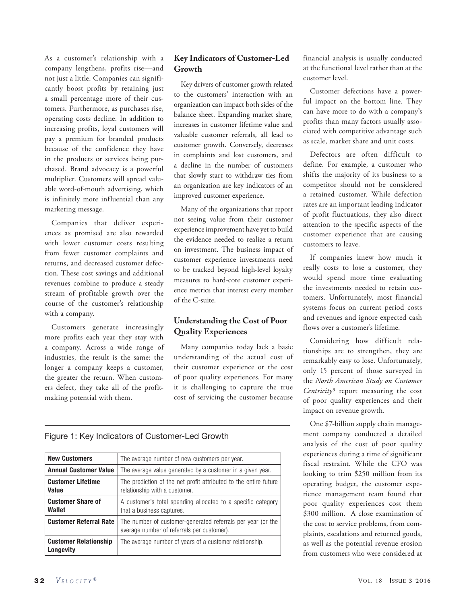As a customer's relationship with a company lengthens, profits rise—and not just a little. Companies can significantly boost profits by retaining just a small percentage more of their customers. Furthermore, as purchases rise, operating costs decline. In addition to increasing profits, loyal customers will pay a premium for branded products because of the confidence they have in the products or services being purchased. Brand advocacy is a powerful multiplier. Customers will spread valuable word-of-mouth advertising, which is infinitely more influential than any marketing message.

Companies that deliver experiences as promised are also rewarded with lower customer costs resulting from fewer customer complaints and returns, and decreased customer defection. These cost savings and additional revenues combine to produce a steady stream of profitable growth over the course of the customer's relationship with a company.

Customers generate increasingly more profits each year they stay with a company. Across a wide range of industries, the result is the same: the longer a company keeps a customer, the greater the return. When customers defect, they take all of the profitmaking potential with them.

# **Key Indicators of Customer-Led Growth**

Key drivers of customer growth related to the customers' interaction with an organization can impact both sides of the balance sheet. Expanding market share, increases in customer lifetime value and valuable customer referrals, all lead to customer growth. Conversely, decreases in complaints and lost customers, and a decline in the number of customers that slowly start to withdraw ties from an organization are key indicators of an improved customer experience.

Many of the organizations that report not seeing value from their customer experience improvement have yet to build the evidence needed to realize a return on investment. The business impact of customer experience investments need to be tracked beyond high-level loyalty measures to hard-core customer experience metrics that interest every member of the C-suite.

# **Understanding the Cost of Poor Quality Experiences**

Many companies today lack a basic understanding of the actual cost of their customer experience or the cost of poor quality experiences. For many it is challenging to capture the true cost of servicing the customer because financial analysis is usually conducted at the functional level rather than at the customer level.

Customer defections have a powerful impact on the bottom line. They can have more to do with a company's profits than many factors usually associated with competitive advantage such as scale, market share and unit costs.

Defectors are often difficult to define. For example, a customer who shifts the majority of its business to a competitor should not be considered a retained customer. While defection rates are an important leading indicator of profit fluctuations, they also direct attention to the specific aspects of the customer experience that are causing customers to leave.

If companies knew how much it really costs to lose a customer, they would spend more time evaluating the investments needed to retain customers. Unfortunately, most financial systems focus on current period costs and revenues and ignore expected cash flows over a customer's lifetime.

Considering how difficult relationships are to strengthen, they are remarkably easy to lose. Unfortunately, only 15 percent of those surveyed in the *North American Study on Customer Centricity*3 report measuring the cost of poor quality experiences and their impact on revenue growth.

One \$7-billion supply chain management company conducted a detailed analysis of the cost of poor quality experiences during a time of significant fiscal restraint. While the CFO was looking to trim \$250 million from its operating budget, the customer experience management team found that poor quality experiences cost them \$300 million. A close examination of the cost to service problems, from complaints, escalations and returned goods, as well as the potential revenue erosion from customers who were considered at

## Figure 1: Key Indicators of Customer-Led Growth

| <b>New Customers</b>                      | The average number of new customers per year.                                                             |  |  |  |  |
|-------------------------------------------|-----------------------------------------------------------------------------------------------------------|--|--|--|--|
| <b>Annual Customer Value</b>              | The average value generated by a customer in a given year.                                                |  |  |  |  |
| <b>Customer Lifetime</b><br><b>Value</b>  | The prediction of the net profit attributed to the entire future<br>relationship with a customer.         |  |  |  |  |
| <b>Customer Share of</b><br>Wallet        | A customer's total spending allocated to a specific category<br>that a business captures.                 |  |  |  |  |
| <b>Customer Referral Rate</b>             | The number of customer-generated referrals per year (or the<br>average number of referrals per customer). |  |  |  |  |
| <b>Customer Relationship</b><br>Longevity | The average number of years of a customer relationship.                                                   |  |  |  |  |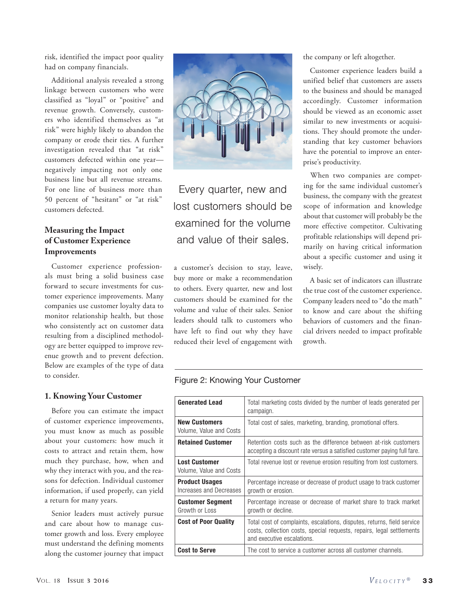risk, identified the impact poor quality had on company financials.

Additional analysis revealed a strong linkage between customers who were classified as "loyal" or "positive" and revenue growth. Conversely, customers who identified themselves as "at risk" were highly likely to abandon the company or erode their ties. A further investigation revealed that "at risk" customers defected within one year negatively impacting not only one business line but all revenue streams. For one line of business more than 50 percent of "hesitant" or "at risk" customers defected.

# **Measuring the Impact of Customer Experience Improvements**

Customer experience professionals must bring a solid business case forward to secure investments for customer experience improvements. Many companies use customer loyalty data to monitor relationship health, but those who consistently act on customer data resulting from a disciplined methodology are better equipped to improve revenue growth and to prevent defection. Below are examples of the type of data to consider.

### **1. Knowing Your Customer**

Before you can estimate the impact of customer experience improvements, you must know as much as possible about your customers: how much it costs to attract and retain them, how much they purchase, how, when and why they interact with you, and the reasons for defection. Individual customer information, if used properly, can yield a return for many years.

Senior leaders must actively pursue and care about how to manage customer growth and loss. Every employee must understand the defining moments along the customer journey that impact



Every quarter, new and lost customers should be examined for the volume and value of their sales.

a customer's decision to stay, leave, buy more or make a recommendation to others. Every quarter, new and lost customers should be examined for the volume and value of their sales. Senior leaders should talk to customers who have left to find out why they have reduced their level of engagement with the company or left altogether.

Customer experience leaders build a unified belief that customers are assets to the business and should be managed accordingly. Customer information should be viewed as an economic asset similar to new investments or acquisitions. They should promote the understanding that key customer behaviors have the potential to improve an enterprise's productivity.

When two companies are competing for the same individual customer's business, the company with the greatest scope of information and knowledge about that customer will probably be the more effective competitor. Cultivating profitable relationships will depend primarily on having critical information about a specific customer and using it wisely.

A basic set of indicators can illustrate the true cost of the customer experience. Company leaders need to "do the math" to know and care about the shifting behaviors of customers and the financial drivers needed to impact profitable growth.

### Figure 2: Knowing Your Customer

| <b>Generated Lead</b>                            | Total marketing costs divided by the number of leads generated per<br>campaign.                                                                                                |  |  |  |  |
|--------------------------------------------------|--------------------------------------------------------------------------------------------------------------------------------------------------------------------------------|--|--|--|--|
| <b>New Customers</b><br>Volume, Value and Costs  | Total cost of sales, marketing, branding, promotional offers.                                                                                                                  |  |  |  |  |
| <b>Retained Customer</b>                         | Retention costs such as the difference between at-risk customers<br>accepting a discount rate versus a satisfied customer paying full fare.                                    |  |  |  |  |
| <b>Lost Customer</b><br>Volume, Value and Costs  | Total revenue lost or revenue erosion resulting from lost customers.                                                                                                           |  |  |  |  |
| <b>Product Usages</b><br>Increases and Decreases | Percentage increase or decrease of product usage to track customer<br>growth or erosion.                                                                                       |  |  |  |  |
| <b>Customer Segment</b><br>Growth or Loss        | Percentage increase or decrease of market share to track market<br>growth or decline.                                                                                          |  |  |  |  |
| <b>Cost of Poor Quality</b>                      | Total cost of complaints, escalations, disputes, returns, field service<br>costs, collection costs, special requests, repairs, legal settlements<br>and executive escalations. |  |  |  |  |
| <b>Cost to Serve</b>                             | The cost to service a customer across all customer channels.                                                                                                                   |  |  |  |  |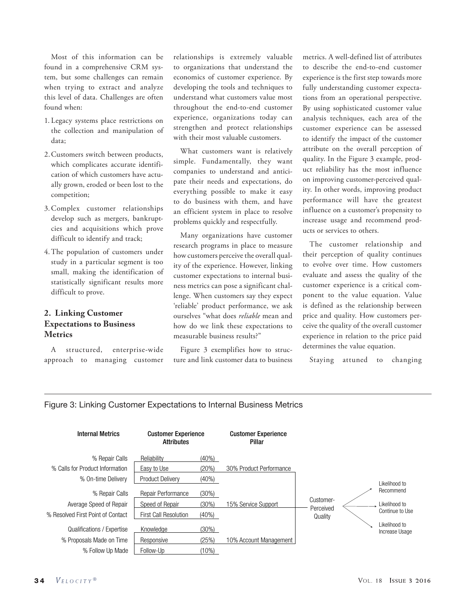Most of this information can be found in a comprehensive CRM system, but some challenges can remain when trying to extract and analyze this level of data. Challenges are often found when:

- 1. Legacy systems place restrictions on the collection and manipulation of data;
- 2.Customers switch between products, which complicates accurate identification of which customers have actually grown, eroded or been lost to the competition;
- 3.Complex customer relationships develop such as mergers, bankruptcies and acquisitions which prove difficult to identify and track;
- 4.The population of customers under study in a particular segment is too small, making the identification of statistically significant results more difficult to prove.

# **2. Linking Customer Expectations to Business Metrics**

A structured, enterprise-wide approach to managing customer

relationships is extremely valuable to organizations that understand the economics of customer experience. By developing the tools and techniques to understand what customers value most throughout the end-to-end customer experience, organizations today can strengthen and protect relationships with their most valuable customers.

What customers want is relatively simple. Fundamentally, they want companies to understand and anticipate their needs and expectations, do everything possible to make it easy to do business with them, and have an efficient system in place to resolve problems quickly and respectfully.

Many organizations have customer research programs in place to measure how customers perceive the overall quality of the experience. However, linking customer expectations to internal business metrics can pose a significant challenge. When customers say they expect 'reliable' product performance, we ask ourselves "what does *reliable* mean and how do we link these expectations to measurable business results?"

Figure 3 exemplifies how to structure and link customer data to business

metrics. A well-defined list of attributes to describe the end-to-end customer experience is the first step towards more fully understanding customer expectations from an operational perspective. By using sophisticated customer value analysis techniques, each area of the customer experience can be assessed to identify the impact of the customer attribute on the overall perception of quality. In the Figure 3 example, product reliability has the most influence on improving customer-perceived quality. In other words, improving product performance will have the greatest influence on a customer's propensity to increase usage and recommend products or services to others.

The customer relationship and their perception of quality continues to evolve over time. How customers evaluate and assess the quality of the customer experience is a critical component to the value equation. Value is defined as the relationship between price and quality. How customers perceive the quality of the overall customer experience in relation to the price paid determines the value equation.

Staying attuned to changing

### Figure 3: Linking Customer Expectations to Internal Business Metrics

| <b>Internal Metrics</b>           | <b>Customer Experience</b><br><b>Attributes</b> |          | <b>Customer Experience</b><br>Pillar |                        |                                 |
|-----------------------------------|-------------------------------------------------|----------|--------------------------------------|------------------------|---------------------------------|
| % Repair Calls                    | Reliability                                     | $(40\%)$ |                                      |                        |                                 |
| % Calls for Product Information   | Easy to Use                                     | (20%)    | 30% Product Performance              |                        |                                 |
| % On-time Delivery                | <b>Product Delivery</b>                         | $(40\%)$ |                                      |                        | Likelihood to                   |
| % Repair Calls                    | Repair Performance                              | (30%)    |                                      |                        | Recommend                       |
| Average Speed of Repair           | Speed of Repair                                 | (30%)    | 15% Service Support                  | Customer-<br>Perceived | Likelihood to                   |
| % Resolved First Point of Contact | <b>First Call Resolution</b>                    | $(40\%)$ |                                      | Quality                | Continue to Use                 |
| Qualifications / Expertise        | Knowledge                                       | (30%)    |                                      |                        | Likelihood to<br>Increase Usage |
| % Proposals Made on Time          | Responsive                                      | (25%)    | 10% Account Management I             |                        |                                 |
| % Follow Up Made                  | Follow-Up                                       | (10%)    |                                      |                        |                                 |